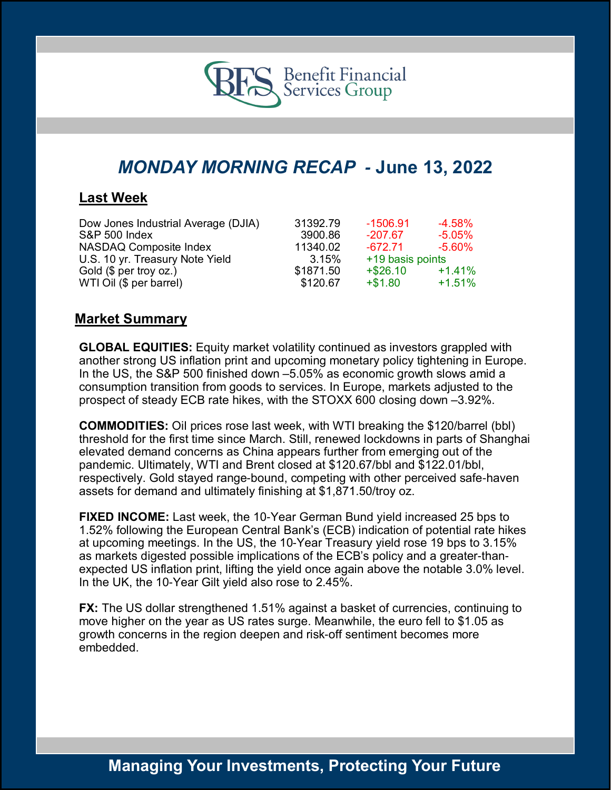

# *MONDAY MORNING RECAP -* **June 13, 2022**

### **Last Week**

| Dow Jones Industrial Average (DJIA) | 31392.79  | -1506.91         | $-4.58\%$ |
|-------------------------------------|-----------|------------------|-----------|
| S&P 500 Index                       | 3900.86   | $-207.67$        | $-5.05\%$ |
| NASDAQ Composite Index              | 11340.02  | $-672.71$        | $-5.60\%$ |
| U.S. 10 yr. Treasury Note Yield     | 3.15%     | +19 basis points |           |
| Gold (\$ per troy oz.)              | \$1871.50 | $+$ \$26.10      | $+1.41%$  |
| WTI Oil (\$ per barrel)             | \$120.67  | $+ $1.80$        | $+1.51%$  |

### **Market Summary**

**GLOBAL EQUITIES:** Equity market volatility continued as investors grappled with another strong US inflation print and upcoming monetary policy tightening in Europe. In the US, the S&P 500 finished down –5.05% as economic growth slows amid a consumption transition from goods to services. In Europe, markets adjusted to the prospect of steady ECB rate hikes, with the STOXX 600 closing down –3.92%.

**COMMODITIES:** Oil prices rose last week, with WTI breaking the \$120/barrel (bbl) threshold for the first time since March. Still, renewed lockdowns in parts of Shanghai elevated demand concerns as China appears further from emerging out of the pandemic. Ultimately, WTI and Brent closed at \$120.67/bbl and \$122.01/bbl, respectively. Gold stayed range-bound, competing with other perceived safe-haven assets for demand and ultimately finishing at \$1,871.50/troy oz.

**FIXED INCOME:** Last week, the 10-Year German Bund yield increased 25 bps to 1.52% following the European Central Bank's (ECB) indication of potential rate hikes at upcoming meetings. In the US, the 10-Year Treasury yield rose 19 bps to 3.15% as markets digested possible implications of the ECB's policy and a greater-thanexpected US inflation print, lifting the yield once again above the notable 3.0% level. In the UK, the 10-Year Gilt yield also rose to 2.45%.

**FX:** The US dollar strengthened 1.51% against a basket of currencies, continuing to move higher on the year as US rates surge. Meanwhile, the euro fell to \$1.05 as growth concerns in the region deepen and risk-off sentiment becomes more embedded.

## **Managing Your Investments, Protecting Your Future**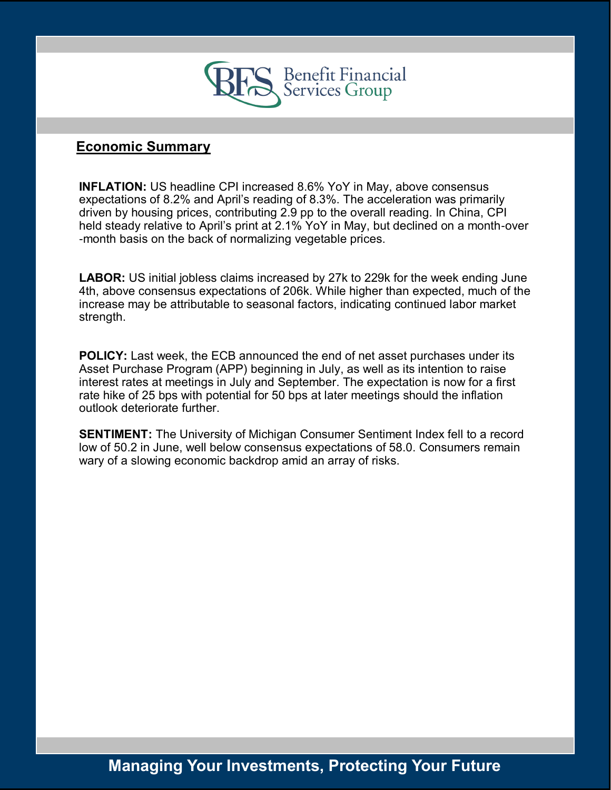

### **Economic Summary**

**INFLATION:** US headline CPI increased 8.6% YoY in May, above consensus expectations of 8.2% and April's reading of 8.3%. The acceleration was primarily driven by housing prices, contributing 2.9 pp to the overall reading. In China, CPI held steady relative to April's print at 2.1% YoY in May, but declined on a month-over -month basis on the back of normalizing vegetable prices.

**LABOR:** US initial jobless claims increased by 27k to 229k for the week ending June 4th, above consensus expectations of 206k. While higher than expected, much of the increase may be attributable to seasonal factors, indicating continued labor market strength.

**POLICY:** Last week, the ECB announced the end of net asset purchases under its Asset Purchase Program (APP) beginning in July, as well as its intention to raise interest rates at meetings in July and September. The expectation is now for a first rate hike of 25 bps with potential for 50 bps at later meetings should the inflation outlook deteriorate further.

**SENTIMENT:** The University of Michigan Consumer Sentiment Index fell to a record low of 50.2 in June, well below consensus expectations of 58.0. Consumers remain wary of a slowing economic backdrop amid an array of risks.